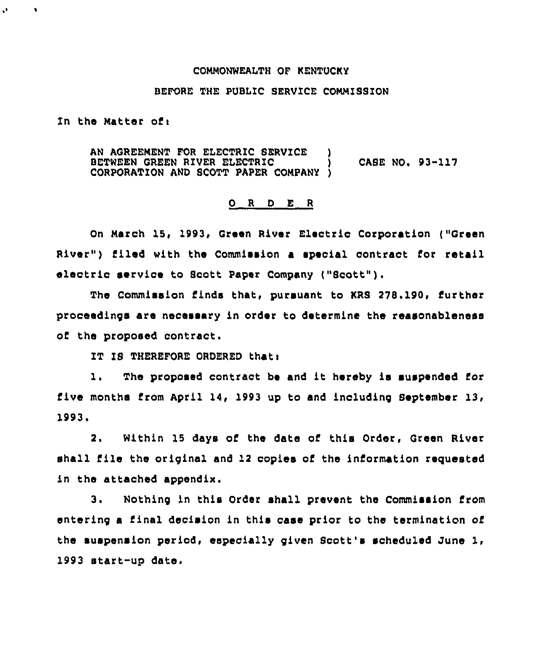#### COMMONWEALTH OF KENTUCKY

## BEFORE THE PUBLIC SERVICE COMMISSION

In the Matter of:

 $\mathbf{v}$ 

٠

AN AGREEMENT FOR ELECTRIC SERVICE BETWEEN GREEN RIVER ELECTRIC (and ) CASE NO. 93-117<br>CORPORATION AND SCOTT PAPER COMPANY ) CORPORATION AND SCOTT PAPER COMPANY

## 0 <sup>R</sup> <sup>D</sup> E <sup>R</sup>

On March 15, 1993, Green River Electrio Corporation ("Green River") filed with the Commission a special contract for retail electric service to Scott Paper Company ("Scott" ).

The Commission finds that, pursuant to KRS 278.199, further proceedings are necessary in order to determine the reasonableness of the proposed contract.

IT IS THEREFORE ORDERED that:

1. The proposed contract be and it hereby is suspended for five months from April 14, 1993 up to and including September 13, 1993.

2. Within lS days of the date of this Order, Green River shall file the oriqinal and 12 copies of the information requested in the attached appendix.

3. Nothing in this Order shall prevent the Commission from entering a final decision in this case prior to the termination of the suspension period, especially given Scott's scheduled June 1, 1993 start-up date.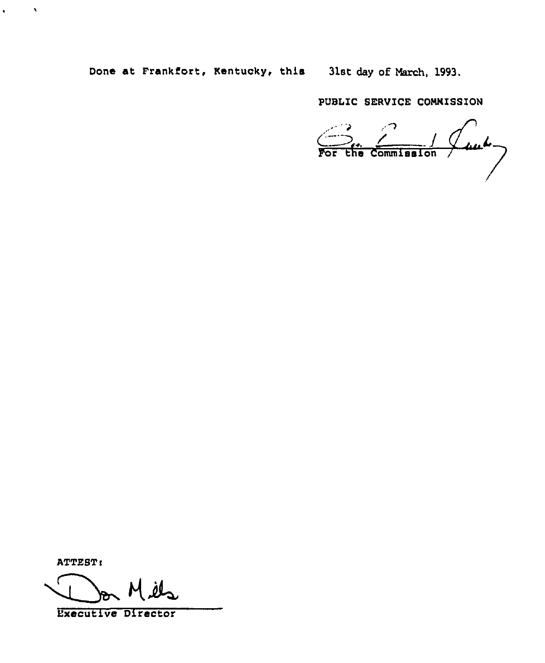Done at Frankfort, Kentucky, this 31st day of March, 1993.

PUBLIC SERVICE COMMISSION

 $\frac{1}{\sqrt{2}} \int_{\text{for this combination}}$ 

ATTEST:

 $\mathcal{A}$ 

 $\bullet$  .  $\bullet$ 

Executive Director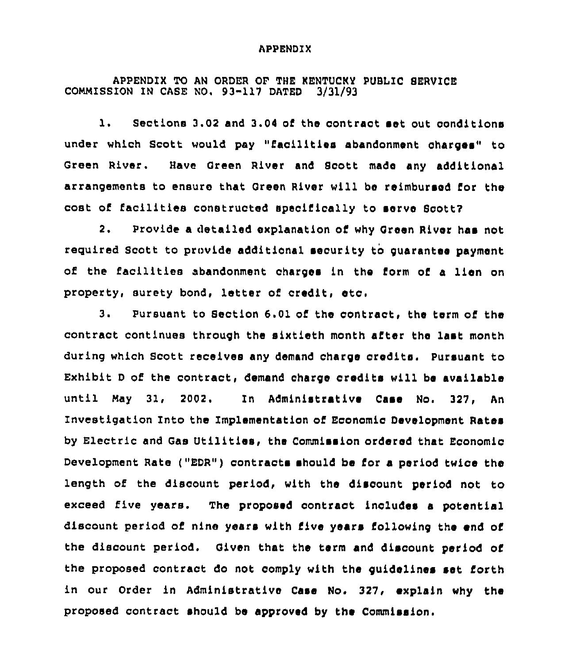#### APPENDIX

# APPENDIX TO AN ORDER OF THE KENTUCKY PUBLIC SERVICE<br>ION IN CASE NO. 93-117 DATED 3/31/93 COMMISSION IN CASE NO. 93-117 DATED

1. Sections 3.02 and 3.04 of the contract set out conditions under which Scott would pay "facilities abandonment charges" to Green River. Have Green River and Scott made any additional arrangements to ensure that Green River will be reimbursed for the cost of facilities constructed specifically to serve Scott?

2. Provide a detailed explanation of why Green River has not required Scott to provide additional security to guarantee payment of the facilitiee abandonment charges in the form of <sup>a</sup> lien on property, surety bon&, letter of credit, eto.

3. Pursuant to Section 6.01 of the contract, the term of the contract continues through the sixtieth month after the last month during which Scott receives any demand charge credits. pursuant to Exhibit <sup>D</sup> of the contract, demand charge credits will be available until May 31, 2002. In Administrative Case No. 327, An Investigation Into the Implementation of Economic Development Rates by Electric and Gas Utilities, the Commission ordered that Economic Development Rate ("EDR") contracts should be for a period twice the length of the discount period, with the discount period not to exceed five years. The proposed contract includes a potential discount period of nine years with five years following the end of the discount period. Given that the term and discount period of the proposed contract do not comply with the guidelines set forth in our Order in Administrative Case No. 327, explain why the proposed contract should bs approved by the Commission.